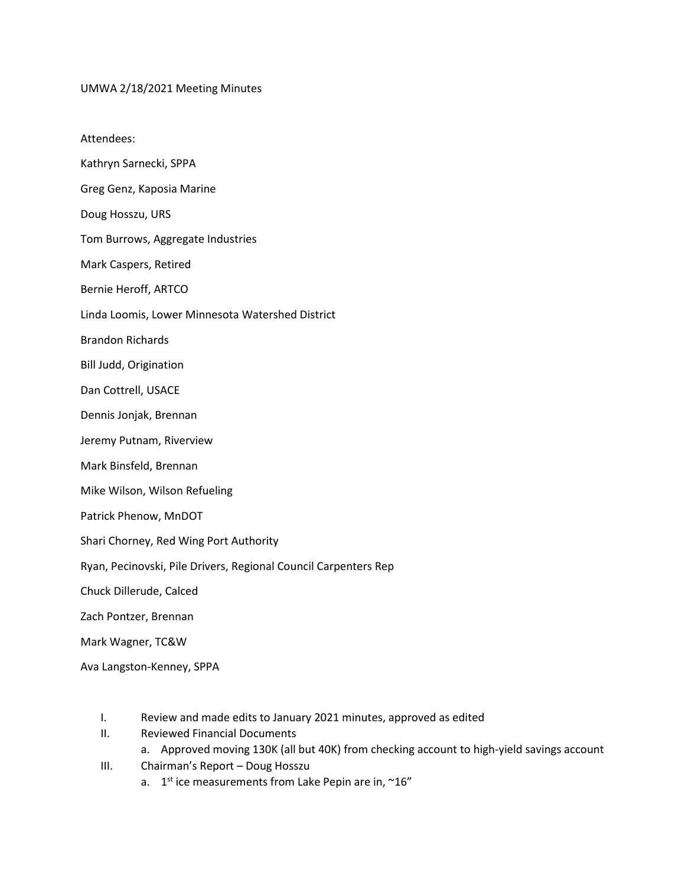UMWA 2/18/2021 Meeting Minutes

Attendees:

- Kathryn Sarnecki, SPPA
- Greg Genz, Kaposia Marine
- Doug Hosszu, URS
- Tom Burrows, Aggregate Industries
- Mark Caspers, Retired
- Bernie Heroff, ARTCO
- Linda Loomis, Lower Minnesota Watershed District
- Brandon Richards
- Bill Judd, Origination
- Dan Cottrell, USACE
- Dennis Jonjak, Brennan
- Jeremy Putnam, Riverview
- Mark Binsfeld, Brennan
- Mike Wilson, Wilson Refueling
- Patrick Phenow, MnDOT
- Shari Chorney, Red Wing Port Authority
- Ryan, Pecinovski, Pile Drivers, Regional Council Carpenters Rep
- Chuck Dillerude, Calced
- Zach Pontzer, Brennan
- Mark Wagner, TC&W
- Ava Langston-Kenney, SPPA
	- I. Review and made edits to January 2021 minutes, approved as edited
	- II. Reviewed Financial Documents
		- a. Approved moving 130K (all but 40K) from checking account to high-yield savings account
	- III. Chairman's Report Doug Hosszu
		- a.  $1<sup>st</sup>$  ice measurements from Lake Pepin are in,  $\sim 16$ "